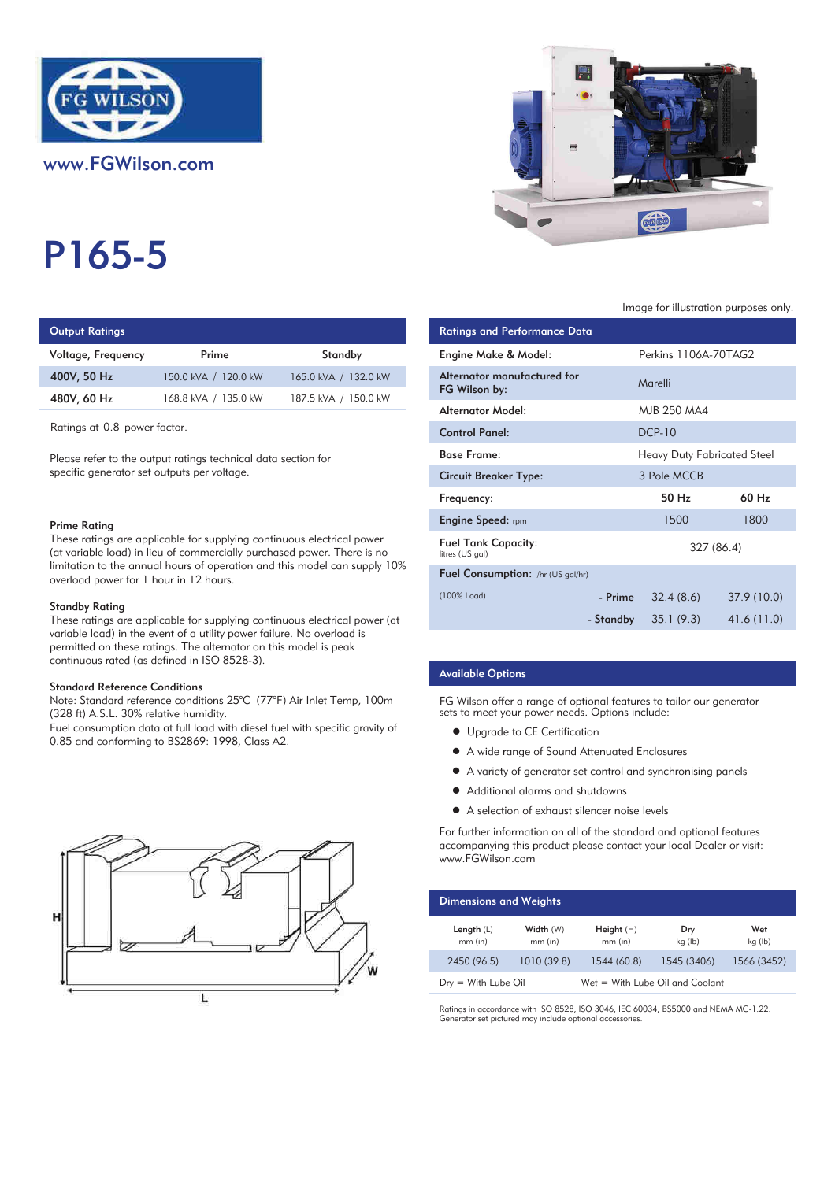

www.FGWilson.com

# P165-5

## **Output Ratings**

| Voltage, Frequency | Prime                | Standby              | Engine Make & Model:   |
|--------------------|----------------------|----------------------|------------------------|
| 400V, 50 Hz        | 150.0 kVA / 120.0 kW | 165.0 kVA / 132.0 kW | Alternator manufacture |
| 480V, 60 Hz        | 168.8 kVA / 135.0 kW | 187.5 kVA / 150.0 kW | FG Wilson by:          |
|                    |                      |                      |                        |

#### Prime Rating

#### Standby Rating

These ratings are applicable for supplying continuous electrical power (at variable load) in the event of a utility power failure. No overload is permitted on these ratings. The alternator on this model is peak continuous rated (as defined in ISO 8528-3).

#### Standard Reference Conditions

Note: Standard reference conditions 25°C (77°F) Air Inlet Temp, 100m (328 ft) A.S.L. 30% relative humidity.

Fuel consumption data at full load with diesel fuel with specific gravity of 0.85 and conforming to BS2869: 1998, Class A2.





#### Image for illustration purposes only.

| Output Ratings                         |                                                                                                                                                                                                                                |                                                                              | <b>Ratings and Performance Data</b>           |           |                                    |
|----------------------------------------|--------------------------------------------------------------------------------------------------------------------------------------------------------------------------------------------------------------------------------|------------------------------------------------------------------------------|-----------------------------------------------|-----------|------------------------------------|
| Voltage, Frequency                     | Prime                                                                                                                                                                                                                          | Standby                                                                      | Engine Make & Model:                          |           | Perkins 1106A-70TAG2               |
| 400V, 50 Hz                            | 150.0 kVA / 120.0 kW                                                                                                                                                                                                           | 165.0 kVA / 132.0 kW                                                         | Alternator manufactured for<br>FG Wilson by:  |           | Marelli                            |
| 480V, 60 Hz                            | 168.8 kVA / 135.0 kW                                                                                                                                                                                                           | 187.5 kVA / 150.0 kW                                                         | <b>Alternator Model:</b>                      |           | MJB 250 MA4                        |
| Ratings at 0.8 power factor.           |                                                                                                                                                                                                                                |                                                                              | <b>Control Panel:</b>                         |           | <b>DCP-10</b>                      |
|                                        | Please refer to the output ratings technical data section for                                                                                                                                                                  |                                                                              | <b>Base Frame:</b>                            |           | <b>Heavy Duty Fabricated Steel</b> |
|                                        | specific generator set outputs per voltage.                                                                                                                                                                                    |                                                                              | <b>Circuit Breaker Type:</b>                  |           | 3 Pole MCCB                        |
|                                        |                                                                                                                                                                                                                                |                                                                              | Frequency:                                    |           | 50 Hz                              |
| Prime Rating                           |                                                                                                                                                                                                                                |                                                                              | <b>Engine Speed:</b> rpm                      |           | 1500                               |
|                                        | These ratings are applicable for supplying continuous electrical power<br>(at variable load) in lieu of commercially purchased power. There is no                                                                              |                                                                              | <b>Fuel Tank Capacity:</b><br>litres (US gal) |           | 327 (86.4)                         |
| overload power for 1 hour in 12 hours. |                                                                                                                                                                                                                                | limitation to the annual hours of operation and this model can supply $10\%$ | Fuel Consumption: I/hr (US gal/hr)            |           |                                    |
| Standby Rating                         |                                                                                                                                                                                                                                |                                                                              | (100% Load)                                   | - Prime   | 32.4(8.6)                          |
|                                        | and the contract of the contract of the contract of the contract of the contract of the contract of the contract of the contract of the contract of the contract of the contract of the contract of the contract of the contra | These ratings are applicable for supplying continuous electrical power (at   |                                               | - Standby | 35.1(9.3)                          |

#### Available Options

FG Wilson offer a range of optional features to tailor our generator sets to meet your power needs. Options include:

- Upgrade to CE Certification
- $\bullet$  A wide range of Sound Attenuated Enclosures
- A variety of generator set control and synchronising panels
- $\bullet$  Additional alarms and shutdowns
- A selection of exhaust silencer noise levels

For further information on all of the standard and optional features accompanying this product please contact your local Dealer or visit: www.FGWilson.com

| <b>Dimensions and Weights</b> |                        |                                 |                |                |
|-------------------------------|------------------------|---------------------------------|----------------|----------------|
| Length $(L)$<br>$mm$ (in)     | Width (W)<br>$mm$ (in) | Height (H)<br>$mm$ (in)         | Dry<br>kg (lb) | Wet<br>kg (lb) |
| 2450 (96.5)                   | 1010(39.8)             | 1544 (60.8)                     | 1545 (3406)    | 1566 (3452)    |
| $Drv = With Lube Oil$         |                        | Wet = With Lube Oil and Coolant |                |                |

Ratings in accordance with ISO 8528, ISO 3046, IEC 60034, BS5000 and NEMA MG-1.22. Generator set pictured may include optional accessories.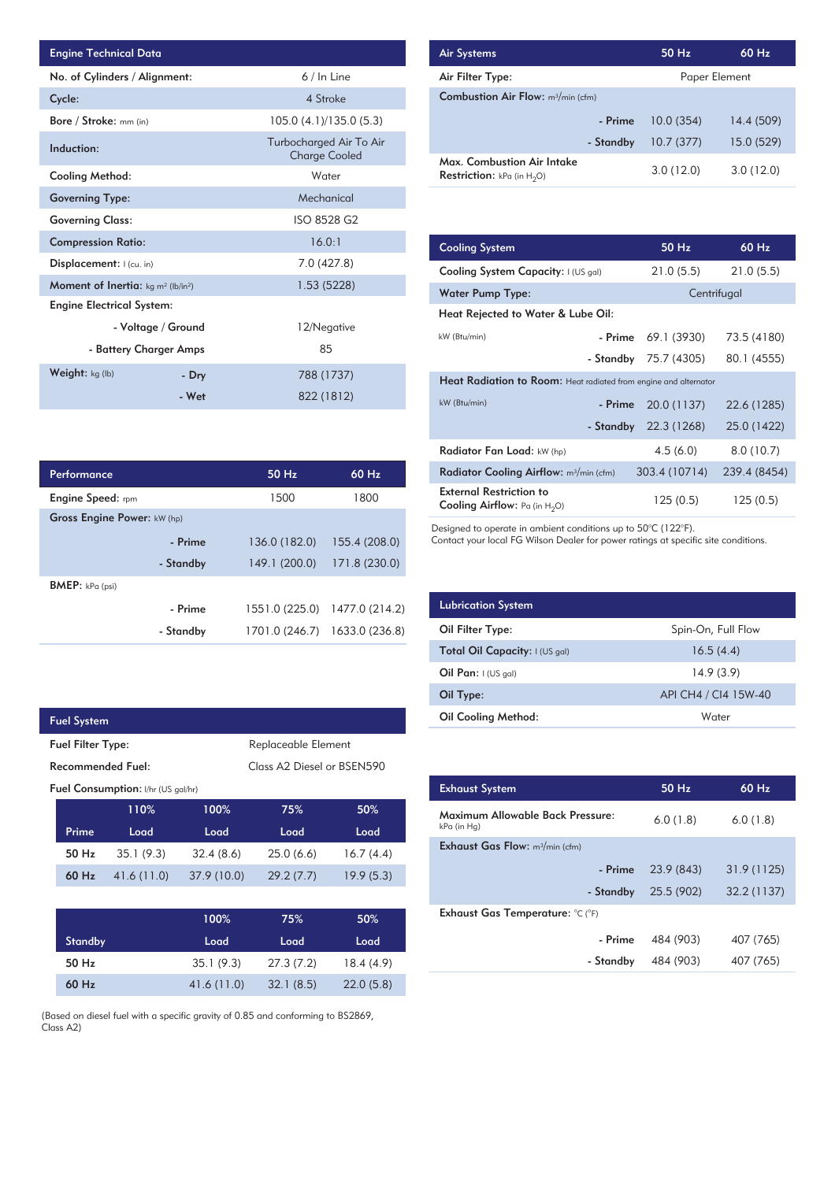| Engine Technical Data                                       |                        |                                                 | <b>Air Systems</b>    |
|-------------------------------------------------------------|------------------------|-------------------------------------------------|-----------------------|
| No. of Cylinders / Alignment:                               |                        | 6 / In Line                                     | Air Filter Ty         |
| Cycle:                                                      |                        | 4 Stroke                                        | <b>Combustion</b>     |
| Bore / Stroke: mm (in)                                      |                        | 105.0 (4.1)/135.0 (5.3)                         |                       |
| Induction:                                                  |                        | Turbocharged Air To Air<br><b>Charge Cooled</b> | Max. Comb             |
| Cooling Method:                                             |                        | Water                                           | <b>Restriction:</b>   |
| <b>Governing Type:</b>                                      |                        | Mechanical                                      |                       |
| <b>Governing Class:</b>                                     |                        | ISO 8528 G2                                     |                       |
| <b>Compression Ratio:</b>                                   |                        | 16.0:1                                          | <b>Cooling Sys</b>    |
| Displacement: I (cu. in)                                    |                        | 7.0 (427.8)                                     | <b>Cooling Sys</b>    |
| <b>Moment of Inertia:</b> $kg \, m^2$ (lb/in <sup>2</sup> ) |                        | 1.53 (5228)                                     | Water Pum             |
| <b>Engine Electrical System:</b>                            |                        |                                                 | <b>Heat Reject</b>    |
|                                                             | - Voltage / Ground     | 12/Negative                                     | kW (Btu/min)          |
|                                                             | - Battery Charger Amps | 85                                              |                       |
| Weight: kg (lb)                                             | - Dry                  | 788 (1737)                                      | <b>Heat Radia</b>     |
|                                                             | - Wet                  | 822 (1812)                                      | $kW(R_{\rm tri/min})$ |

| Performance                 |           | $50$ Hz        | $60$ Hz        |
|-----------------------------|-----------|----------------|----------------|
| <b>Engine Speed:</b> rpm    |           | 1500           | 1800           |
| Gross Engine Power: kW (hp) |           |                |                |
|                             | - Prime   | 136.0 (182.0)  | 155.4 (208.0)  |
|                             | - Standby | 149.1 (200.0)  | 171.8 (230.0)  |
| <b>BMEP:</b> $kPa$ (psi)    |           |                |                |
|                             | - Prime   | 1551.0 (225.0) | 1477.0 (214.2) |
|                             | - Standby | 1701.0 (246.7) | 1633.0 (236.8) |

| <b>Fuel System</b>       |                                           |                            |           |           |  |  |
|--------------------------|-------------------------------------------|----------------------------|-----------|-----------|--|--|
| <b>Fuel Filter Type:</b> |                                           | Replaceable Element        |           |           |  |  |
| Recommended Fuel:        |                                           | Class A2 Diesel or BSEN590 |           |           |  |  |
|                          | <b>Fuel Consumption:</b> I/hr (US gal/hr) |                            |           |           |  |  |
|                          | 110%                                      | 100%                       | 75%       | 50%       |  |  |
| Prime                    | Load                                      | Load                       | Load      | Load      |  |  |
| 50 Hz                    | 35.1(9.3)                                 | 32.4(8.6)                  | 25.0(6.6) | 16.7(4.4) |  |  |
| $60$ Hz                  | 41.6(11.0)                                | 37.9 (10.0)                | 29.2(7.7) | 19.9(5.3) |  |  |
|                          |                                           |                            |           |           |  |  |

I

|                | 100%       | 75%       | 50%       |
|----------------|------------|-----------|-----------|
| <b>Standby</b> | Load       | Load      | Load      |
| 50 Hz          | 35.1(9.3)  | 27.3(7.2) | 18.4(4.9) |
| 60 Hz          | 41.6(11.0) | 32.1(8.5) | 22.0(5.8) |

(Based on diesel fuel with a specific gravity of 0.85 and conforming to BS2869, Class A2)

| <b>Air Systems</b>                                                 | 50 Hz         | $60$ Hz    |
|--------------------------------------------------------------------|---------------|------------|
| Air Filter Type:                                                   | Paper Element |            |
| <b>Combustion Air Flow:</b> m <sup>3</sup> /min (cfm)              |               |            |
| - Prime                                                            | 10.0(354)     | 14.4 (509) |
| - Standby                                                          | 10.7(377)     | 15.0 (529) |
| Max. Combustion Air Intake<br><b>Restriction:</b> kPa (in $H_2O$ ) | 3.0(12.0)     | 3.0(12.0)  |

| 16.0:1      |       | <b>Cooling System</b>                                                     |           | 50 Hz         | 60 Hz        |
|-------------|-------|---------------------------------------------------------------------------|-----------|---------------|--------------|
| 7.0 (427.8) |       | Cooling System Capacity: I (US gal)                                       |           | 21.0(5.5)     | 21.0(5.5)    |
| 1.53 (5228) |       | <b>Water Pump Type:</b>                                                   |           |               | Centrifugal  |
|             |       | Heat Rejected to Water & Lube Oil:                                        |           |               |              |
| 12/Negative |       | kW (Btu/min)                                                              | - Prime   | 69.1 (3930)   | 73.5 (4180)  |
| 85          |       |                                                                           | - Standby | 75.7 (4305)   | 80.1 (4555)  |
| 788 (1737)  |       | Heat Radiation to Room: Heat radiated from engine and alternator          |           |               |              |
| 822 (1812)  |       | kW (Btu/min)                                                              | - Prime   | 20.0 (1137)   | 22.6 (1285)  |
|             |       |                                                                           | - Standby | 22.3 (1268)   | 25.0 (1422)  |
|             |       | Radiator Fan Load: kW (hp)                                                |           | 4.5(6.0)      | 8.0(10.7)    |
| $50$ Hz     | 60 Hz | Radiator Cooling Airflow: m <sup>3</sup> /min (cfm)                       |           | 303.4 (10714) | 239.4 (8454) |
| 1500        | 1800  | <b>External Restriction to</b><br><b>Cooling Airflow:</b> Pa (in $H_2O$ ) |           | 125(0.5)      | 125(0.5)     |

Designed to operate in ambient conditions up to 50°C (122°F).

Contact your local FG Wilson Dealer for power ratings at specific site conditions.

| <b>Lubrication System</b>      |                      |
|--------------------------------|----------------------|
| Oil Filter Type:               | Spin-On, Full Flow   |
| Total Oil Capacity: I (US gal) | 16.5(4.4)            |
| Oil Pan: $I(US gal)$           | 14.9(3.9)            |
| Oil Type:                      | API CH4 / CI4 15W-40 |
| <b>Oil Cooling Method:</b>     | Water                |

| <b>Exhaust System</b>                           | $50$ Hz    | $60$ Hz     |
|-------------------------------------------------|------------|-------------|
| Maximum Allowable Back Pressure:<br>kPa (in Hg) | 6.0(1.8)   | 6.0(1.8)    |
| <b>Exhaust Gas Flow:</b> $m^3/m$ in (cfm)       |            |             |
| - Prime                                         | 23.9 (843) | 31.9(1125)  |
| - Standby                                       | 25.5 (902) | 32.2 (1137) |
| Exhaust Gas Temperature: °C (°F)                |            |             |
| - Prime                                         | 484 (903)  | 407 (765)   |
| - Standby                                       | 484 (903)  | 407 (765)   |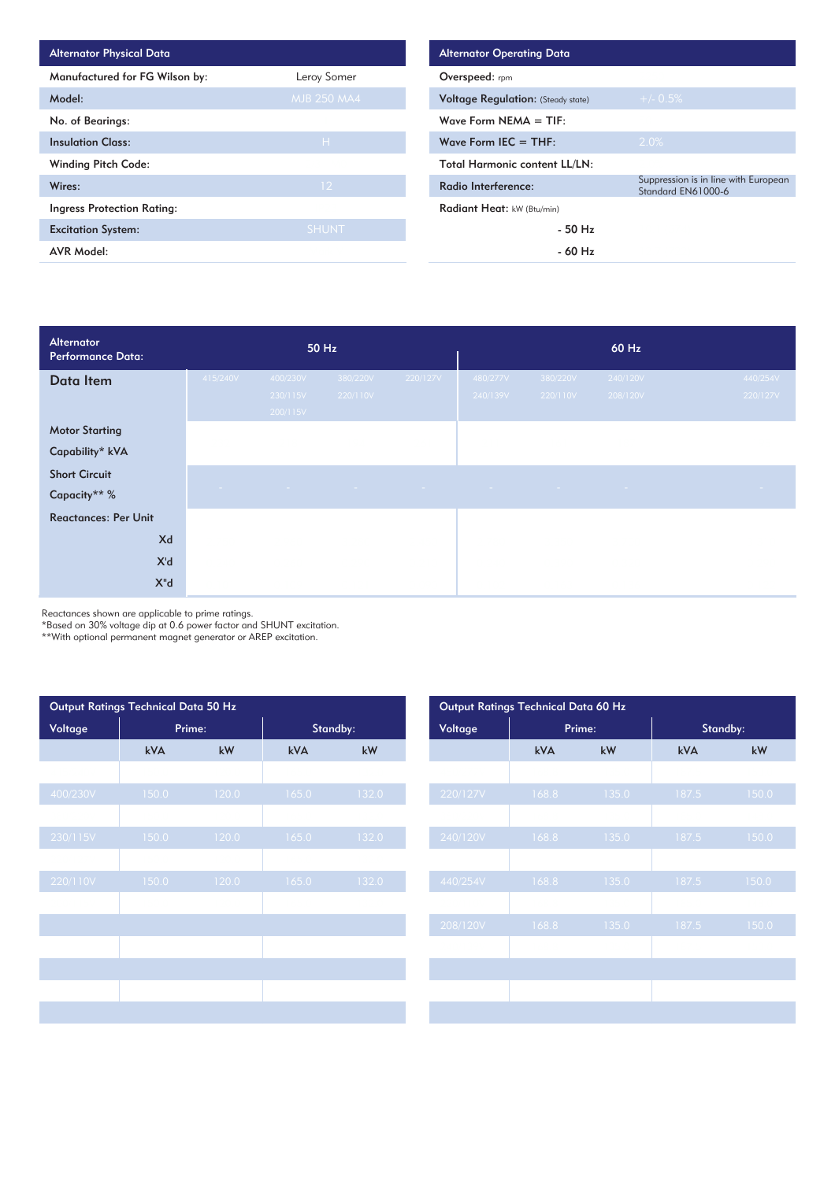| <b>Alternator Physical Data</b>   |                    | <b>Alternator Operating Data</b>          |
|-----------------------------------|--------------------|-------------------------------------------|
| Manufactured for FG Wilson by:    | Leroy Somer        | Overspeed: rpm                            |
| Model:                            | <b>MJB 250 MA4</b> | <b>Voltage Regulation: (Steady state)</b> |
| No. of Bearings:                  |                    | Wave Form NEMA $=$ TIF:                   |
| <b>Insulation Class:</b>          | H                  | Wave Form IEC $=$ THF:                    |
| <b>Winding Pitch Code:</b>        |                    | <b>Total Harmonic content LL/LN:</b>      |
| Wires:                            | 12 <sup>2</sup>    | Radio Interference:                       |
| <b>Ingress Protection Rating:</b> |                    | Radiant Heat: kW (Btu/min)                |
| <b>Excitation System:</b>         | <b>SHUNT</b>       | $-50$ Hz                                  |
| <b>AVR Model:</b>                 |                    | $-60$ Hz                                  |

| Alternator<br><b>Performance Data:</b>   |            |                                  | 50 Hz                |                 | 60 Hz                |                      |                      |                      |  |
|------------------------------------------|------------|----------------------------------|----------------------|-----------------|----------------------|----------------------|----------------------|----------------------|--|
| Data Item                                | 415/240V   | 400/230V<br>230/115V<br>200/115V | 380/220V<br>220/110V | 220/127V        | 480/277V<br>240/139V | 380/220V<br>220/110V | 240/120V<br>208/120V | 440/254V<br>220/127V |  |
| <b>Motor Starting</b><br>Capability* kVA |            |                                  |                      |                 |                      |                      |                      |                      |  |
| <b>Short Circuit</b><br>Capacity** %     | $\sim 100$ | <b>Contract</b>                  | $\sim 100$           | <b>Contract</b> | <b>Contract</b>      | $\sim 100$           | <b>State State</b>   | $\sim 100$           |  |
| <b>Reactances: Per Unit</b>              |            |                                  |                      |                 |                      |                      |                      |                      |  |
| Xd                                       |            |                                  |                      |                 |                      |                      |                      |                      |  |
| X'd                                      |            |                                  |                      |                 |                      |                      |                      |                      |  |
| $X^{\prime\prime}$ d                     |            |                                  |                      |                 |                      |                      |                      |                      |  |

Reactances shown are applicable to prime ratings.

\*Based on 30% voltage dip at 0.6 power factor and SHUNT excitation.

\*\*With optional permanent magnet generator or AREP excitation.

| Output Ratings Technical Data 50 Hz |        |       |          |           | Output Ratings Technical Data 60 Hz |  |       |        |          |  |
|-------------------------------------|--------|-------|----------|-----------|-------------------------------------|--|-------|--------|----------|--|
| Voltage                             | Prime: |       | Standby: |           | Voltage                             |  |       | Prime: | Standby: |  |
|                                     | kVA    | kW    | kVA      | kW        |                                     |  | kVA   | kW     | kVA      |  |
|                                     |        |       |          |           |                                     |  |       |        |          |  |
| 400/230V                            | 150.0  | 120.0 | 165.0    | 132.0     | 220/127V                            |  | 168.8 | 135.0  | 187.5    |  |
|                                     |        |       |          |           |                                     |  |       |        |          |  |
| 230/115V                            | 150.0  | 120.0 | 165.0    | $132.0$ , | 240/120V                            |  | 168.8 | 135.0  | 187.5    |  |
|                                     |        |       |          |           |                                     |  |       |        |          |  |
| 220/110V                            | 150.0  | 120.0 | 165.0    | 132.0     | 440/254V                            |  | 168.8 | 135.0  | 187.5    |  |
|                                     |        |       |          |           |                                     |  |       |        |          |  |
|                                     |        |       |          |           | 208/120V                            |  | 168.8 | 135.0  | 187.5    |  |
|                                     |        |       |          |           |                                     |  |       |        |          |  |
|                                     |        |       |          |           |                                     |  |       |        |          |  |
|                                     |        |       |          |           |                                     |  |       |        |          |  |
|                                     |        |       |          |           |                                     |  |       |        |          |  |